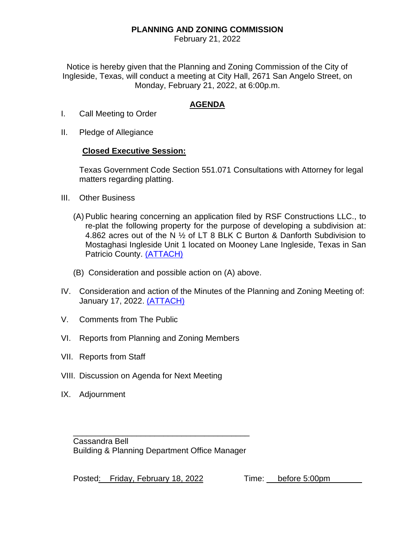## **PLANNING AND ZONING COMMISSION**

February 21, 2022

Notice is hereby given that the Planning and Zoning Commission of the City of Ingleside, Texas, will conduct a meeting at City Hall, 2671 San Angelo Street, on Monday, February 21, 2022, at 6:00p.m.

## **AGENDA**

- I. Call Meeting to Order
- II. Pledge of Allegiance

## **Closed Executive Session:**

Texas Government Code Section 551.071 Consultations with Attorney for legal matters regarding platting.

- III. Other Business
	- (A) Public hearing concerning an application filed by RSF Constructions LLC., to re-plat the following property for the purpose of developing a subdivision at: 4.862 acres out of the N ½ of LT 8 BLK C Burton & Danforth Subdivision to Mostaghasi Ingleside Unit 1 located on Mooney Lane Ingleside, Texas in San Patricio County. [\(ATTACH\)](https://itx.nyc3.cdn.digitaloceanspaces.com/wp-content/uploads/2022/02/IIIA.pdf)
	- (B) Consideration and possible action on (A) above.
- IV. Consideration and action of the Minutes of the Planning and Zoning Meeting of: January 17, 2022. [\(ATTACH\)](https://itx.nyc3.cdn.digitaloceanspaces.com/wp-content/uploads/2022/02/IV.pdf)
- V. Comments from The Public
- VI. Reports from Planning and Zoning Members
- VII. Reports from Staff
- VIII. Discussion on Agenda for Next Meeting
- IX. Adjournment

\_\_\_\_\_\_\_\_\_\_\_\_\_\_\_\_\_\_\_\_\_\_\_\_\_\_\_\_\_\_\_\_\_\_\_\_\_\_\_ Cassandra Bell Building & Planning Department Office Manager

Posted: Friday, February 18, 2022 Time: before 5:00pm